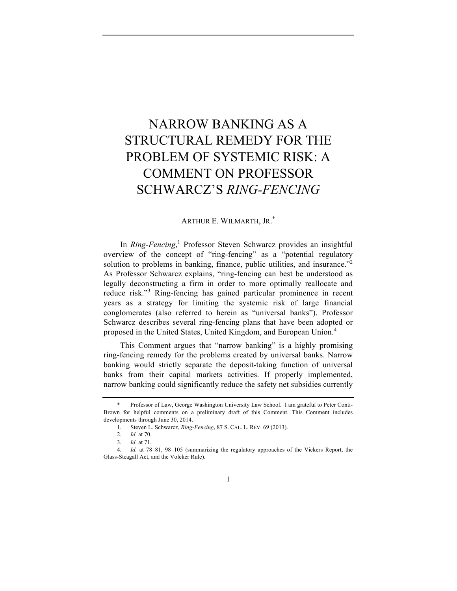# NARROW BANKING AS A STRUCTURAL REMEDY FOR THE PROBLEM OF SYSTEMIC RISK: A COMMENT ON PROFESSOR SCHWARCZ'S *RING-FENCING*

## ARTHUR E. WILMARTH, JR. \*

In *Ring-Fencing*, <sup>1</sup> Professor Steven Schwarcz provides an insightful overview of the concept of "ring-fencing" as a "potential regulatory solution to problems in banking, finance, public utilities, and insurance."<sup>2</sup> As Professor Schwarcz explains, "ring-fencing can best be understood as legally deconstructing a firm in order to more optimally reallocate and reduce risk."<sup>3</sup> Ring-fencing has gained particular prominence in recent years as a strategy for limiting the systemic risk of large financial conglomerates (also referred to herein as "universal banks"). Professor Schwarcz describes several ring-fencing plans that have been adopted or proposed in the United States, United Kingdom, and European Union.<sup>4</sup>

This Comment argues that "narrow banking" is a highly promising ring-fencing remedy for the problems created by universal banks. Narrow banking would strictly separate the deposit-taking function of universal banks from their capital markets activities. If properly implemented, narrow banking could significantly reduce the safety net subsidies currently

Professor of Law, George Washington University Law School. I am grateful to Peter Conti-Brown for helpful comments on a preliminary draft of this Comment. This Comment includes developments through June 30, 2014.

<sup>1.</sup> Steven L. Schwarcz, *Ring-Fencing*, 87 S. CAL. L. REV. 69 (2013).

<sup>2.</sup> *Id.* at 70.

<sup>3.</sup> *Id.* at 71.

<sup>4.</sup> *Id.* at 78–81, 98–105 (summarizing the regulatory approaches of the Vickers Report, the Glass-Steagall Act, and the Volcker Rule).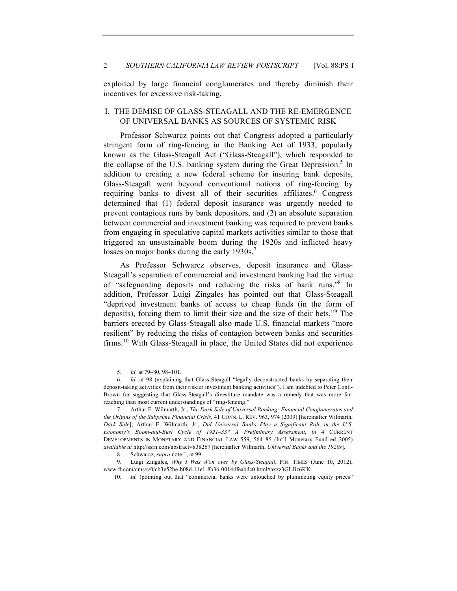exploited by large financial conglomerates and thereby diminish their incentives for excessive risk-taking.

## I. THE DEMISE OF GLASS-STEAGALL AND THE RE-EMERGENCE OF UNIVERSAL BANKS AS SOURCES OF SYSTEMIC RISK

Professor Schwarcz points out that Congress adopted a particularly stringent form of ring-fencing in the Banking Act of 1933, popularly known as the Glass-Steagall Act ("Glass-Steagall"), which responded to the collapse of the U.S. banking system during the Great Depression.<sup>5</sup> In addition to creating a new federal scheme for insuring bank deposits, Glass-Steagall went beyond conventional notions of ring-fencing by requiring banks to divest all of their securities affiliates.<sup>6</sup> Congress determined that (1) federal deposit insurance was urgently needed to prevent contagious runs by bank depositors, and (2) an absolute separation between commercial and investment banking was required to prevent banks from engaging in speculative capital markets activities similar to those that triggered an unsustainable boom during the 1920s and inflicted heavy losses on major banks during the early 1930s.<sup>7</sup>

As Professor Schwarcz observes, deposit insurance and Glass-Steagall's separation of commercial and investment banking had the virtue of "safeguarding deposits and reducing the risks of bank runs."<sup>8</sup> In addition, Professor Luigi Zingales has pointed out that Glass-Steagall "deprived investment banks of access to cheap funds (in the form of deposits), forcing them to limit their size and the size of their bets."<sup>9</sup> The barriers erected by Glass-Steagall also made U.S. financial markets "more resilient" by reducing the risks of contagion between banks and securities firms.<sup>10</sup> With Glass-Steagall in place, the United States did not experience

<sup>5.</sup> *Id.* at 79–80, 98–101.

<sup>6.</sup> *Id.* at 98 (explaining that Glass-Steagall "legally deconstructed banks by separating their deposit-taking activities from their riskier investment banking activities"). I am indebted to Peter Conti-Brown for suggesting that Glass-Steagall's divestiture mandate was a remedy that was more farreaching than most current understandings of "ring-fencing."

<sup>7.</sup> Arthur E. Wilmarth, Jr., *The Dark Side of Universal Banking: Financial Conglomerates and the Origins of the Subprime Financial Crisis*, 41 CONN. L. REV. 963, 974 (2009) [hereinafter Wilmarth, *Dark Side*]; Arthur E. Wilmarth, Jr., *Did Universal Banks Play a Significant Role in the U.S. Economy's Boom-and-Bust Cycle of 1921–33? A Preliminary Assessment*, *in* 4 CURRENT DEVELOPMENTS IN MONETARY AND FINANCIAL LAW 559, 564–85 (Int'l Monetary Fund ed.,2005) *available at* http://ssrn.com/abstract=838267 [hereinafter Wilmarth, *Universal Banks and the 1920s*].

<sup>8.</sup> Schwarcz, *supra* note 1, at 99.

<sup>9.</sup> Luigi Zingales, *Why I Was Won over by Glass-Steagall*, FIN. TIMES (June 10, 2012), www.ft.com/cms/s/0/cb3e52be-b08d-11e1-8b36-00144feabdc0.html#axzz3GLJiz6KK.

<sup>10.</sup> *Id.* (pointing out that "commercial banks were untouched by plummeting equity prices"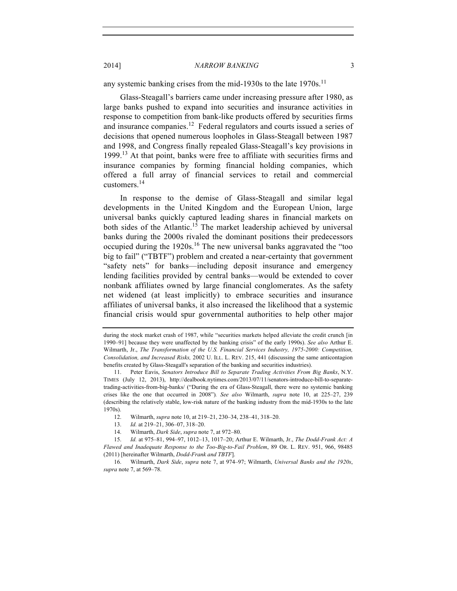2014] *NARROW BANKING* 3

any systemic banking crises from the mid-1930s to the late  $1970s$ .<sup>11</sup>

Glass-Steagall's barriers came under increasing pressure after 1980, as large banks pushed to expand into securities and insurance activities in response to competition from bank-like products offered by securities firms and insurance companies.<sup>12</sup> Federal regulators and courts issued a series of decisions that opened numerous loopholes in Glass-Steagall between 1987 and 1998, and Congress finally repealed Glass-Steagall's key provisions in 1999.<sup>13</sup> At that point, banks were free to affiliate with securities firms and insurance companies by forming financial holding companies, which offered a full array of financial services to retail and commercial customers.14

In response to the demise of Glass-Steagall and similar legal developments in the United Kingdom and the European Union, large universal banks quickly captured leading shares in financial markets on both sides of the Atlantic.<sup>15</sup> The market leadership achieved by universal banks during the 2000s rivaled the dominant positions their predecessors occupied during the  $1920s$ .<sup>16</sup> The new universal banks aggravated the "too big to fail" ("TBTF") problem and created a near-certainty that government "safety nets" for banks—including deposit insurance and emergency lending facilities provided by central banks—would be extended to cover nonbank affiliates owned by large financial conglomerates. As the safety net widened (at least implicitly) to embrace securities and insurance affiliates of universal banks, it also increased the likelihood that a systemic financial crisis would spur governmental authorities to help other major

14. Wilmarth, *Dark Side*, *supra* note 7, at 972–80.

during the stock market crash of 1987, while "securities markets helped alleviate the credit crunch [in] 1990–91] because they were unaffected by the banking crisis" of the early 1990s). *See also* Arthur E. Wilmarth, Jr., *The Transformation of the U.S. Financial Services Industry, 1975-2000: Competition, Consolidation, and Increased Risks,* 2002 U. ILL. L. REV. 215, 441 (discussing the same anticontagion benefits created by Glass-Steagall's separation of the banking and securities industries).

<sup>11.</sup> Peter Eavis, *Senators Introduce Bill to Separate Trading Activities From Big Banks*, N.Y. TIMES (July 12, 2013), http://dealbook.nytimes.com/2013/07/11/senators-introduce-bill-to-separatetrading-activities-from-big-banks/ ("During the era of Glass-Steagall, there were no systemic banking crises like the one that occurred in 2008")*. See also* Wilmarth, *supra* note 10, at 225–27, 239 (describing the relatively stable, low-risk nature of the banking industry from the mid-1930s to the late 1970s).

<sup>12.</sup> Wilmarth, *supra* note 10, at 219–21, 230–34, 238–41, 318–20.

<sup>13.</sup> *Id.* at 219–21, 306–07, 318–20.

<sup>15.</sup> *Id.* at 975–81, 994–97, 1012–13, 1017–20; Arthur E. Wilmarth, Jr., *The Dodd-Frank Act: A Flawed and Inadequate Response to the Too-Big-to-Fail Problem*, 89 OR. L. REV. 951, 966, 98485 (2011) [hereinafter Wilmarth, *Dodd-Frank and TBTF*].

<sup>16.</sup> Wilmarth, *Dark Side*, *supra* note 7, at 974–97; Wilmarth, *Universal Banks and the 1920s*, *supra* note 7, at 569–78.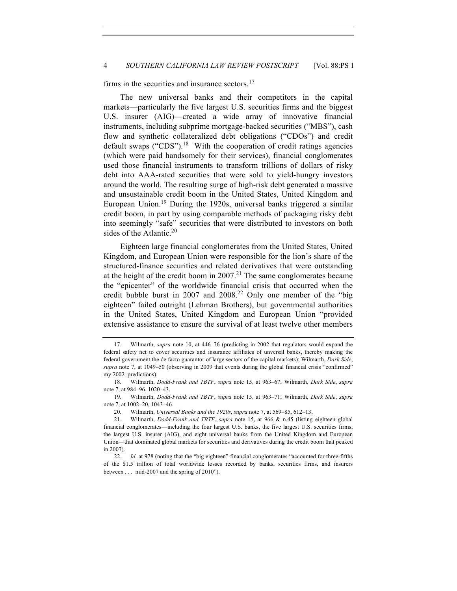firms in the securities and insurance sectors. $17$ 

The new universal banks and their competitors in the capital markets—particularly the five largest U.S. securities firms and the biggest U.S. insurer (AIG)—created a wide array of innovative financial instruments, including subprime mortgage-backed securities ("MBS"), cash flow and synthetic collateralized debt obligations ("CDOs") and credit default swaps ("CDS").<sup>18</sup> With the cooperation of credit ratings agencies (which were paid handsomely for their services), financial conglomerates used those financial instruments to transform trillions of dollars of risky debt into AAA-rated securities that were sold to yield-hungry investors around the world. The resulting surge of high-risk debt generated a massive and unsustainable credit boom in the United States, United Kingdom and European Union. <sup>19</sup> During the 1920s, universal banks triggered a similar credit boom, in part by using comparable methods of packaging risky debt into seemingly "safe" securities that were distributed to investors on both sides of the Atlantic. $20$ 

Eighteen large financial conglomerates from the United States, United Kingdom, and European Union were responsible for the lion's share of the structured-finance securities and related derivatives that were outstanding at the height of the credit boom in  $2007$ .<sup>21</sup> The same conglomerates became the "epicenter" of the worldwide financial crisis that occurred when the credit bubble burst in  $2007$  and  $2008<sup>22</sup>$  Only one member of the "big eighteen" failed outright (Lehman Brothers), but governmental authorities in the United States, United Kingdom and European Union "provided extensive assistance to ensure the survival of at least twelve other members

<sup>17.</sup> Wilmarth, *supra* note 10, at 446–76 (predicting in 2002 that regulators would expand the federal safety net to cover securities and insurance affiliates of unversal banks, thereby making the federal government the de facto guarantor of large sectors of the capital markets); Wilmarth, *Dark Side*, *supra* note 7, at 1049–50 (observing in 2009 that events during the global financial crisis "confirmed" my 2002 predictions).

<sup>18.</sup> Wilmarth, *Dodd-Frank and TBTF*, *supra* note 15, at 963–67; Wilmarth, *Dark Side*, *supra*  note 7, at 984–96, 1020–43.

<sup>19.</sup> Wilmarth, *Dodd-Frank and TBTF*, *supra* note 15, at 963–71; Wilmarth, *Dark Side*, *supra*  note 7, at 1002–20, 1043–46.

<sup>20.</sup> Wilmarth, *Universal Banks and the 1920s*, *supra* note 7, at 569–85, 612–13.

<sup>21.</sup> Wilmarth, *Dodd-Frank and TBTF*, *supra* note 15, at 966 & n.45 (listing eighteen global financial conglomerates—including the four largest U.S. banks, the five largest U.S. securities firms, the largest U.S. insurer (AIG), and eight universal banks from the United Kingdom and European Union—that dominated global markets for securities and derivatives during the credit boom that peaked in 2007).

<sup>22.</sup> *Id.* at 978 (noting that the "big eighteen" financial conglomerates "accounted for three-fifths of the \$1.5 trillion of total worldwide losses recorded by banks, securities firms, and insurers between . . . mid-2007 and the spring of 2010").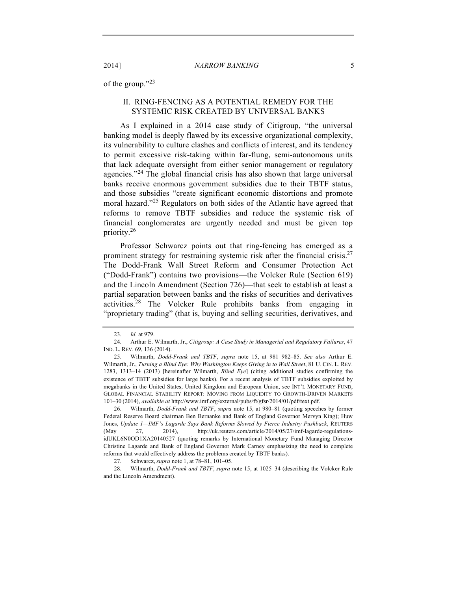of the group."<sup>23</sup>

## II. RING-FENCING AS A POTENTIAL REMEDY FOR THE SYSTEMIC RISK CREATED BY UNIVERSAL BANKS

As I explained in a 2014 case study of Citigroup, "the universal banking model is deeply flawed by its excessive organizational complexity, its vulnerability to culture clashes and conflicts of interest, and its tendency to permit excessive risk-taking within far-flung, semi-autonomous units that lack adequate oversight from either senior management or regulatory agencies."<sup>24</sup> The global financial crisis has also shown that large universal banks receive enormous government subsidies due to their TBTF status, and those subsidies "create significant economic distortions and promote moral hazard."<sup>25</sup> Regulators on both sides of the Atlantic have agreed that reforms to remove TBTF subsidies and reduce the systemic risk of financial conglomerates are urgently needed and must be given top priority.<sup>26</sup>

Professor Schwarcz points out that ring-fencing has emerged as a prominent strategy for restraining systemic risk after the financial crisis.<sup>27</sup> The Dodd-Frank Wall Street Reform and Consumer Protection Act ("Dodd-Frank") contains two provisions—the Volcker Rule (Section 619) and the Lincoln Amendment (Section 726)—that seek to establish at least a partial separation between banks and the risks of securities and derivatives activities.<sup>28</sup> The Volcker Rule prohibits banks from engaging in "proprietary trading" (that is, buying and selling securities, derivatives, and

26. Wilmarth, *Dodd-Frank and TBTF*, *supra* note 15, at 980–81 (quoting speeches by former Federal Reserve Board chairman Ben Bernanke and Bank of England Governor Mervyn King); Huw Jones, *Update 1—IMF's Lagarde Says Bank Reforms Slowed by Fierce Industry Pushback*, REUTERS (May 27, 2014), http://uk.reuters.com/article/2014/05/27/imf-lagarde-regulationsidUKL6N0OD1XA20140527 (quoting remarks by International Monetary Fund Managing Director Christine Lagarde and Bank of England Governor Mark Carney emphasizing the need to complete reforms that would effectively address the problems created by TBTF banks).

27. Schwarcz, *supra* note 1, at 78–81, 101–05.

28. Wilmarth, *Dodd-Frank and TBTF*, *supra* note 15, at 1025–34 (describing the Volcker Rule and the Lincoln Amendment).

<sup>23.</sup> *Id.* at 979.

<sup>24.</sup> Arthur E. Wilmarth, Jr., *Citigroup: A Case Study in Managerial and Regulatory Failures*, 47 IND. L. REV. 69, 136 (2014).

<sup>25.</sup> Wilmarth, *Dodd-Frank and TBTF*, *supra* note 15, at 981 982–85. *See also* Arthur E. Wilmarth, Jr., *Turning a Blind Eye: Why Washington Keeps Giving in to Wall Street*, 81 U. CIN. L. REV. 1283, 1313–14 (2013) [hereinafter Wilmarth, *Blind Eye*] (citing additional studies confirming the existence of TBTF subsidies for large banks). For a recent analysis of TBTF subsidies exploited by megabanks in the United States, United Kingdom and European Union, see INT'L MONETARY FUND, GLOBAL FINANCIAL STABILITY REPORT: MOVING FROM LIQUIDITY TO GROWTH-DRIVEN MARKETS 101–30 (2014), *available at* http://www.imf.org/external/pubs/ft/gfsr/2014/01/pdf/text.pdf.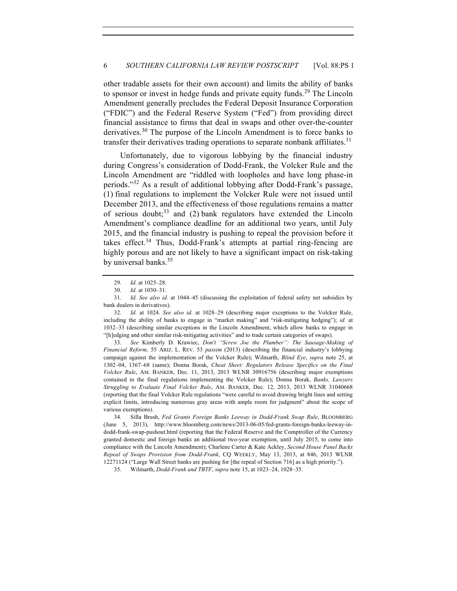other tradable assets for their own account) and limits the ability of banks to sponsor or invest in hedge funds and private equity funds.<sup>29</sup> The Lincoln Amendment generally precludes the Federal Deposit Insurance Corporation ("FDIC") and the Federal Reserve System ("Fed") from providing direct financial assistance to firms that deal in swaps and other over-the-counter derivatives.<sup>30</sup> The purpose of the Lincoln Amendment is to force banks to transfer their derivatives trading operations to separate nonbank affiliates.<sup>31</sup>

Unfortunately, due to vigorous lobbying by the financial industry during Congress's consideration of Dodd-Frank, the Volcker Rule and the Lincoln Amendment are "riddled with loopholes and have long phase-in periods."<sup>32</sup> As a result of additional lobbying after Dodd-Frank's passage, (1) final regulations to implement the Volcker Rule were not issued until December 2013, and the effectiveness of those regulations remains a matter of serious doubt; $33$  and (2) bank regulators have extended the Lincoln Amendment's compliance deadline for an additional two years, until July 2015, and the financial industry is pushing to repeal the provision before it takes effect.<sup>34</sup> Thus, Dodd-Frank's attempts at partial ring-fencing are highly porous and are not likely to have a significant impact on risk-taking by universal banks.<sup>35</sup>

33. *See* Kimberly D. Krawiec, *Don't "Screw Joe the Plumber": The Sausage-Making of Financial Reform,* 55 ARIZ. L. REV. 53 *passim* (2013) (describing the financial industry's lobbying campaign against the implementation of the Volcker Rule); Wilmarth, *Blind Eye*, *supra* note 25, at 1302–04, 1367–68 (same); Donna Borak, *Cheat Sheet: Regulators Release Specifics on the Final Volcker Rule*, AM. BANKER, Dec. 11, 2013, 2013 WLNR 30916756 (describing major exemptions contained in the final regulations implementing the Volcker Rule); Donna Borak, *Banks, Lawyers Struggling to Evaluate Final Volcker Rule*, AM. BANKER, Dec. 12, 2013, 2013 WLNR 31040668 (reporting that the final Volcker Rule regulations "were careful to avoid drawing bright lines and setting explicit limits, introducing numerous gray areas with ample room for judgment" about the scope of various exemptions).

<sup>29.</sup> *Id.* at 1025–28.

<sup>30.</sup> *Id.* at 1030–31.

<sup>31.</sup> *Id. See also id.* at 1044–45 (discussing the exploitation of federal safety net subsidies by bank dealers in derivatives).

<sup>32.</sup> *Id.* at 1024. *See also id.* at 1028–29 (describing major exceptions to the Volcker Rule, including the ability of banks to engage in "market making" and "risk-mitigating hedging"); *id.* at 1032–33 (describing similar exceptions in the Lincoln Amendment, which allow banks to engage in "[h]edging and other similar risk-mitigating activities" and to trade certain categories of swaps).

<sup>34.</sup> Silla Brush, *Fed Grants Foreign Banks Leeway in Dodd-Frank Swap Rule*, BLOOMBERG (June 5, 2013), http://www.bloomberg.com/news/2013-06-05/fed-grants-foreign-banks-leeway-indodd-frank-swap-pushout.html (reporting that the Federal Reserve and the Comptroller of the Currency granted domestic and foreign banks an additional two-year exemption, until July 2015, to come into compliance with the Lincoln Amendment); Charlene Carter & Kate Ackley, *Second House Panel Backs Repeal of Swaps Provision from Dodd-Frank*, CQ WEEKLY, May 13, 2013, at 846, 2013 WLNR 12271124 ("Large Wall Street banks are pushing for [the repeal of Section 716] as a high priority.").

<sup>35.</sup> Wilmarth, *Dodd-Frank and TBTF*, *supra* note 15, at 1023–24, 1028–35.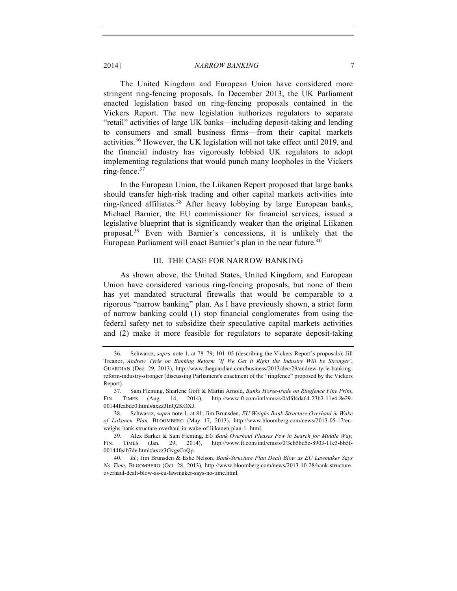#### 2014] *NARROW BANKING* 7

The United Kingdom and European Union have considered more stringent ring-fencing proposals. In December 2013, the UK Parliament enacted legislation based on ring-fencing proposals contained in the Vickers Report. The new legislation authorizes regulators to separate "retail" activities of large UK banks—including deposit-taking and lending to consumers and small business firms—from their capital markets activities.<sup>36</sup> However, the UK legislation will not take effect until 2019, and the financial industry has vigorously lobbied UK regulators to adopt implementing regulations that would punch many loopholes in the Vickers ring-fence. $37$ 

In the European Union, the Liikanen Report proposed that large banks should transfer high-risk trading and other capital markets activities into ring-fenced affiliates.<sup>38</sup> After heavy lobbying by large European banks, Michael Barnier, the EU commissioner for financial services, issued a legislative blueprint that is significantly weaker than the original Liikanen proposal.39 Even with Barnier's concessions, it is unlikely that the European Parliament will enact Barnier's plan in the near future.<sup>40</sup>

#### III. THE CASE FOR NARROW BANKING

As shown above, the United States, United Kingdom, and European Union have considered various ring-fencing proposals, but none of them has yet mandated structural firewalls that would be comparable to a rigorous "narrow banking" plan. As I have previously shown, a strict form of narrow banking could (1) stop financial conglomerates from using the federal safety net to subsidize their speculative capital markets activities and (2) make it more feasible for regulators to separate deposit-taking

<sup>36.</sup> Schwarcz, *supra* note 1, at 78–79; 101–05 (describing the Vickers Report's proposals); Jill Treanor, *Andrew Tyrie on Banking Reform 'If We Get it Right the Industry Will be Stronger'*, GUARDIAN (Dec. 29, 2013), http://www.theguardian.com/business/2013/dec/29/andrew-tyrie-bankingreform-industry-stronger (discussing Parliament's enactment of the "ringfence" proposed by the Vickers Report).

<sup>37.</sup> Sam Fleming, Sharlene Goff & Martin Arnold, *Banks Horse-trade on Ringfence Fine Print*, FIN. TIMES (Aug. 14, 2014), http://www.ft.com/intl/cms/s/0/dfd4da64-23b2-11e4-8e29- 00144feabdc0.html#axzz3InQ2KOXJ.

<sup>38.</sup> Schwarcz, *supra* note 1, at 81; Jim Brunsden, *EU Weighs Bank-Structure Overhaul in Wake of Liikanen Plan,* BLOOMBERG (May 17, 2013), http://www.bloomberg.com/news/2013-05-17/euweighs-bank-structure-overhaul-in-wake-of-liikanen-plan-1-.html.

<sup>39.</sup> Alex Barker & Sam Fleming, *EU Bank Overhaul Pleases Few in Search for Middle Way,* FIN. TIMES (Jan. 29, 2014), http://www.ft.com/intl/cms/s/0/3cb5bd5c-8903-11e3-bb5f-00144feab7de.html#axzz3GvgsCoQp.

<sup>40.</sup> *Id.*; Jim Brunsden & Eshe Nelson, *Bank-Structure Plan Dealt Blow as EU Lawmaker Says No Time*, BLOOMBERG (Oct. 28, 2013), http://www.bloomberg.com/news/2013-10-28/bank-structureoverhaul-dealt-blow-as-eu-lawmaker-says-no-time.html.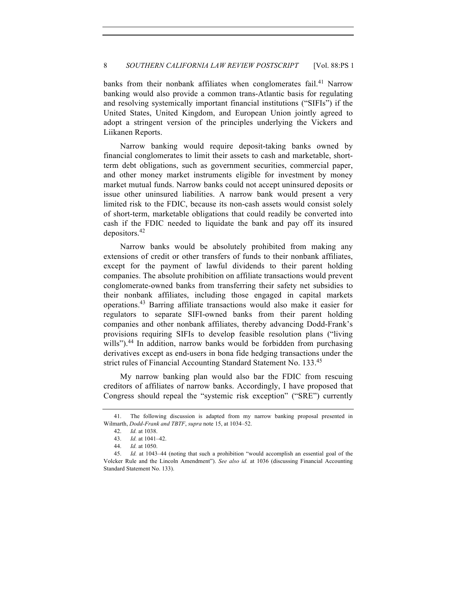banks from their nonbank affiliates when conglomerates fail.<sup>41</sup> Narrow banking would also provide a common trans-Atlantic basis for regulating and resolving systemically important financial institutions ("SIFIs") if the United States, United Kingdom, and European Union jointly agreed to adopt a stringent version of the principles underlying the Vickers and Liikanen Reports.

Narrow banking would require deposit-taking banks owned by financial conglomerates to limit their assets to cash and marketable, shortterm debt obligations, such as government securities, commercial paper, and other money market instruments eligible for investment by money market mutual funds. Narrow banks could not accept uninsured deposits or issue other uninsured liabilities. A narrow bank would present a very limited risk to the FDIC, because its non-cash assets would consist solely of short-term, marketable obligations that could readily be converted into cash if the FDIC needed to liquidate the bank and pay off its insured depositors.<sup>42</sup>

Narrow banks would be absolutely prohibited from making any extensions of credit or other transfers of funds to their nonbank affiliates, except for the payment of lawful dividends to their parent holding companies. The absolute prohibition on affiliate transactions would prevent conglomerate-owned banks from transferring their safety net subsidies to their nonbank affiliates, including those engaged in capital markets operations.43 Barring affiliate transactions would also make it easier for regulators to separate SIFI-owned banks from their parent holding companies and other nonbank affiliates, thereby advancing Dodd-Frank's provisions requiring SIFIs to develop feasible resolution plans ("living wills").<sup>44</sup> In addition, narrow banks would be forbidden from purchasing derivatives except as end-users in bona fide hedging transactions under the strict rules of Financial Accounting Standard Statement No. 133.<sup>45</sup>

My narrow banking plan would also bar the FDIC from rescuing creditors of affiliates of narrow banks. Accordingly, I have proposed that Congress should repeal the "systemic risk exception" ("SRE") currently

<sup>41.</sup> The following discussion is adapted from my narrow banking proposal presented in Wilmarth, *Dodd-Frank and TBTF*, *supra* note 15, at 1034–52.

<sup>42.</sup> *Id.* at 1038.

<sup>43.</sup> *Id.* at 1041–42.

<sup>44.</sup> *Id.* at 1050.

<sup>45.</sup> *Id.* at 1043–44 (noting that such a prohibition "would accomplish an essential goal of the Volcker Rule and the Lincoln Amendment"). *See also id.* at 1036 (discussing Financial Accounting Standard Statement No. 133).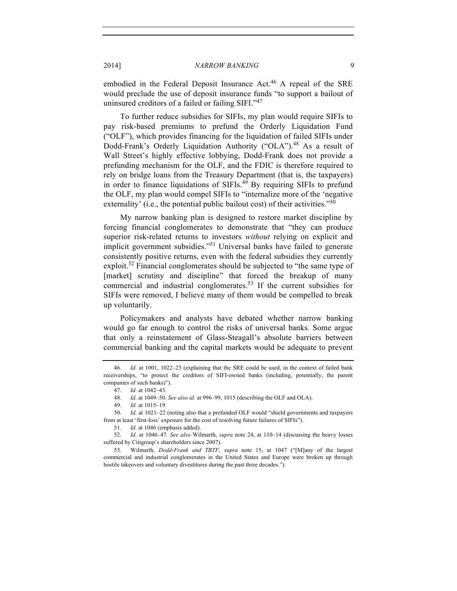#### 2014] *NARROW BANKING* 9

embodied in the Federal Deposit Insurance Act.<sup>46</sup> A repeal of the SRE would preclude the use of deposit insurance funds "to support a bailout of uninsured creditors of a failed or failing SIFI."<sup>47</sup>

To further reduce subsidies for SIFIs, my plan would require SIFIs to pay risk-based premiums to prefund the Orderly Liquidation Fund ("OLF"), which provides financing for the liquidation of failed SIFIs under Dodd-Frank's Orderly Liquidation Authority ("OLA").<sup>48</sup> As a result of Wall Street's highly effective lobbying, Dodd-Frank does not provide a prefunding mechanism for the OLF, and the FDIC is therefore required to rely on bridge loans from the Treasury Department (that is, the taxpayers) in order to finance liquidations of SIFIs.<sup>49</sup> By requiring SIFIs to prefund the OLF, my plan would compel SIFIs to "internalize more of the 'negative externality' (i.e., the potential public bailout cost) of their activities."<sup>50</sup>

My narrow banking plan is designed to restore market discipline by forcing financial conglomerates to demonstrate that "they can produce superior risk-related returns to investors *without* relying on explicit and implicit government subsidies."<sup>51</sup> Universal banks have failed to generate consistently positive returns, even with the federal subsidies they currently exploit.<sup>52</sup> Financial conglomerates should be subjected to "the same type of [market] scrutiny and discipline" that forced the breakup of many commercial and industrial conglomerates.<sup>53</sup> If the current subsidies for SIFIs were removed, I believe many of them would be compelled to break up voluntarily.

Policymakers and analysts have debated whether narrow banking would go far enough to control the risks of universal banks. Some argue that only a reinstatement of Glass-Steagall's absolute barriers between commercial banking and the capital markets would be adequate to prevent

<sup>46.</sup> *Id.* at 1001, 1022–23 (explaining that the SRE could be used, in the context of failed bank receiverships, "to protect the creditors of SIFI-owned banks (including, potentially, the parent companies of such banks)").

<sup>47.</sup> *Id.* at 1042–43.

<sup>48.</sup> *Id.* at 1049–50. *See also id.* at 996–99, 1015 (describing the OLF and OLA).

<sup>49.</sup> *Id.* at 1015–19.

<sup>50.</sup> *Id.* at 1021–22 (noting also that a prefunded OLF would "shield governments and taxpayers from at least 'first-loss' exposure for the cost of resolving future failures of SIFIs").

<sup>51.</sup> *Id.* at 1046 (emphasis added).

<sup>52.</sup> *Id.* at 1046–47*. See also* Wilmarth, *supra* note 24, at 110–14 (discussing the heavy losses suffered by Citigroup's shareholders since 2007).

<sup>53.</sup> Wilmarth, *Dodd-Frank and TBTF*, *supra* note 15, at 1047 ("[M]any of the largest commercial and industrial conglomerates in the United States and Europe were broken up through hostile takeovers and voluntary divestitures during the past three decades.").